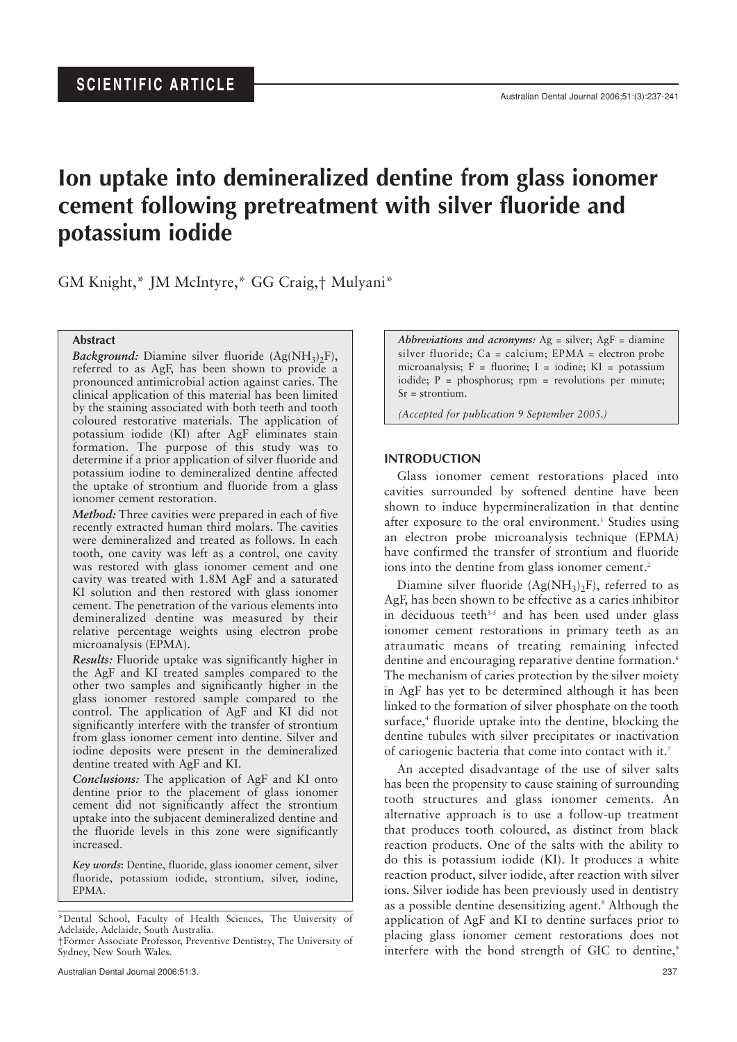# **Ion uptake into demineralized dentine from glass ionomer cement following pretreatment with silver fluoride and potassium iodide**

GM Knight,\* JM McIntyre,\* GG Craig,† Mulyani\*

## **Abstract**

*Background:* Diamine silver fluoride  $(Ag(NH_3),F)$ , referred to as AgF, has been shown to provide a pronounced antimicrobial action against caries. The clinical application of this material has been limited by the staining associated with both teeth and tooth coloured restorative materials. The application of potassium iodide (KI) after AgF eliminates stain formation. The purpose of this study was to determine if a prior application of silver fluoride and potassium iodine to demineralized dentine affected the uptake of strontium and fluoride from a glass ionomer cement restoration.

*Method:* Three cavities were prepared in each of five recently extracted human third molars. The cavities were demineralized and treated as follows. In each tooth, one cavity was left as a control, one cavity was restored with glass ionomer cement and one cavity was treated with 1.8M AgF and a saturated KI solution and then restored with glass ionomer cement. The penetration of the various elements into demineralized dentine was measured by their relative percentage weights using electron probe microanalysis (EPMA).

*Results:* Fluoride uptake was significantly higher in the AgF and KI treated samples compared to the other two samples and significantly higher in the glass ionomer restored sample compared to the control. The application of AgF and KI did not significantly interfere with the transfer of strontium from glass ionomer cement into dentine. Silver and iodine deposits were present in the demineralized dentine treated with AgF and KI.

*Conclusions:* The application of AgF and KI onto dentine prior to the placement of glass ionomer cement did not significantly affect the strontium uptake into the subjacent demineralized dentine and the fluoride levels in this zone were significantly increased.

*Key words***:** Dentine, fluoride, glass ionomer cement, silver fluoride, potassium iodide, strontium, silver, iodine, EPMA.

*Abbreviations and acronyms:* Ag = silver; AgF = diamine silver fluoride; Ca = calcium; EPMA = electron probe microanalysis;  $F =$  fluorine;  $I =$  iodine;  $KI =$  potassium iodide; P = phosphorus; rpm = revolutions per minute;  $Sr =$  strontium.

*(Accepted for publication 9 September 2005.)*

# **INTRODUCTION**

Glass ionomer cement restorations placed into cavities surrounded by softened dentine have been shown to induce hypermineralization in that dentine after exposure to the oral environment.<sup>1</sup> Studies using an electron probe microanalysis technique (EPMA) have confirmed the transfer of strontium and fluoride ions into the dentine from glass ionomer cement.<sup>2</sup>

Diamine silver fluoride  $(Ag(NH_3)_2F)$ , referred to as AgF, has been shown to be effective as a caries inhibitor in deciduous teeth<sup>3.5</sup> and has been used under glass ionomer cement restorations in primary teeth as an atraumatic means of treating remaining infected dentine and encouraging reparative dentine formation.<sup>6</sup> The mechanism of caries protection by the silver moiety in AgF has yet to be determined although it has been linked to the formation of silver phosphate on the tooth surface,<sup>4</sup> fluoride uptake into the dentine, blocking the dentine tubules with silver precipitates or inactivation of cariogenic bacteria that come into contact with it.7

An accepted disadvantage of the use of silver salts has been the propensity to cause staining of surrounding tooth structures and glass ionomer cements. An alternative approach is to use a follow-up treatment that produces tooth coloured, as distinct from black reaction products. One of the salts with the ability to do this is potassium iodide (KI). It produces a white reaction product, silver iodide, after reaction with silver ions. Silver iodide has been previously used in dentistry as a possible dentine desensitizing agent.<sup>8</sup> Although the application of AgF and KI to dentine surfaces prior to placing glass ionomer cement restorations does not interfere with the bond strength of GIC to dentine,<sup>9</sup>

<sup>\*</sup>Dental School, Faculty of Health Sciences, The University of Adelaide, Adelaide, South Australia. †Former Associate Professor, Preventive Dentistry, The University of

Sydney, New South Wales.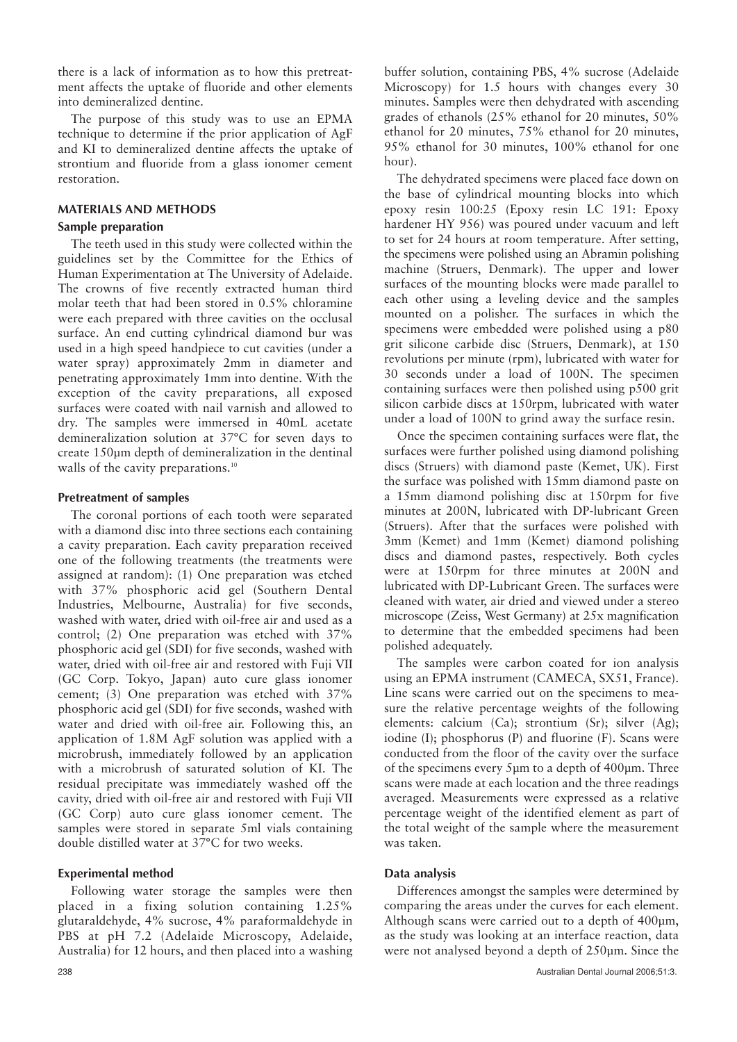there is a lack of information as to how this pretreatment affects the uptake of fluoride and other elements into demineralized dentine.

The purpose of this study was to use an EPMA technique to determine if the prior application of AgF and KI to demineralized dentine affects the uptake of strontium and fluoride from a glass ionomer cement restoration.

## **MATERIALS AND METHODS**

#### **Sample preparation**

The teeth used in this study were collected within the guidelines set by the Committee for the Ethics of Human Experimentation at The University of Adelaide. The crowns of five recently extracted human third molar teeth that had been stored in 0.5% chloramine were each prepared with three cavities on the occlusal surface. An end cutting cylindrical diamond bur was used in a high speed handpiece to cut cavities (under a water spray) approximately 2mm in diameter and penetrating approximately 1mm into dentine. With the exception of the cavity preparations, all exposed surfaces were coated with nail varnish and allowed to dry. The samples were immersed in 40mL acetate demineralization solution at 37°C for seven days to create 150µm depth of demineralization in the dentinal walls of the cavity preparations.<sup>10</sup>

#### **Pretreatment of samples**

The coronal portions of each tooth were separated with a diamond disc into three sections each containing a cavity preparation. Each cavity preparation received one of the following treatments (the treatments were assigned at random): (1) One preparation was etched with 37% phosphoric acid gel (Southern Dental Industries, Melbourne, Australia) for five seconds, washed with water, dried with oil-free air and used as a control; (2) One preparation was etched with 37% phosphoric acid gel (SDI) for five seconds, washed with water, dried with oil-free air and restored with Fuji VII (GC Corp. Tokyo, Japan) auto cure glass ionomer cement; (3) One preparation was etched with 37% phosphoric acid gel (SDI) for five seconds, washed with water and dried with oil-free air. Following this, an application of 1.8M AgF solution was applied with a microbrush, immediately followed by an application with a microbrush of saturated solution of KI. The residual precipitate was immediately washed off the cavity, dried with oil-free air and restored with Fuji VII (GC Corp) auto cure glass ionomer cement. The samples were stored in separate 5ml vials containing double distilled water at 37°C for two weeks.

#### **Experimental method**

Following water storage the samples were then placed in a fixing solution containing 1.25% glutaraldehyde, 4% sucrose, 4% paraformaldehyde in PBS at pH 7.2 (Adelaide Microscopy, Adelaide, Australia) for 12 hours, and then placed into a washing buffer solution, containing PBS, 4% sucrose (Adelaide Microscopy) for 1.5 hours with changes every 30 minutes. Samples were then dehydrated with ascending grades of ethanols (25% ethanol for 20 minutes, 50% ethanol for 20 minutes, 75% ethanol for 20 minutes, 95% ethanol for 30 minutes, 100% ethanol for one hour).

The dehydrated specimens were placed face down on the base of cylindrical mounting blocks into which epoxy resin 100:25 (Epoxy resin LC 191: Epoxy hardener HY 956) was poured under vacuum and left to set for 24 hours at room temperature. After setting, the specimens were polished using an Abramin polishing machine (Struers, Denmark). The upper and lower surfaces of the mounting blocks were made parallel to each other using a leveling device and the samples mounted on a polisher. The surfaces in which the specimens were embedded were polished using a p80 grit silicone carbide disc (Struers, Denmark), at 150 revolutions per minute (rpm), lubricated with water for 30 seconds under a load of 100N. The specimen containing surfaces were then polished using p500 grit silicon carbide discs at 150rpm, lubricated with water under a load of 100N to grind away the surface resin.

Once the specimen containing surfaces were flat, the surfaces were further polished using diamond polishing discs (Struers) with diamond paste (Kemet, UK). First the surface was polished with 15mm diamond paste on a 15mm diamond polishing disc at 150rpm for five minutes at 200N, lubricated with DP-lubricant Green (Struers). After that the surfaces were polished with 3mm (Kemet) and 1mm (Kemet) diamond polishing discs and diamond pastes, respectively. Both cycles were at 150rpm for three minutes at 200N and lubricated with DP-Lubricant Green. The surfaces were cleaned with water, air dried and viewed under a stereo microscope (Zeiss, West Germany) at 25x magnification to determine that the embedded specimens had been polished adequately.

The samples were carbon coated for ion analysis using an EPMA instrument (CAMECA, SX51, France). Line scans were carried out on the specimens to measure the relative percentage weights of the following elements: calcium (Ca); strontium (Sr); silver (Ag); iodine (I); phosphorus (P) and fluorine (F). Scans were conducted from the floor of the cavity over the surface of the specimens every 5µm to a depth of 400µm. Three scans were made at each location and the three readings averaged. Measurements were expressed as a relative percentage weight of the identified element as part of the total weight of the sample where the measurement was taken.

#### **Data analysis**

Differences amongst the samples were determined by comparing the areas under the curves for each element. Although scans were carried out to a depth of 400µm, as the study was looking at an interface reaction, data were not analysed beyond a depth of 250µm. Since the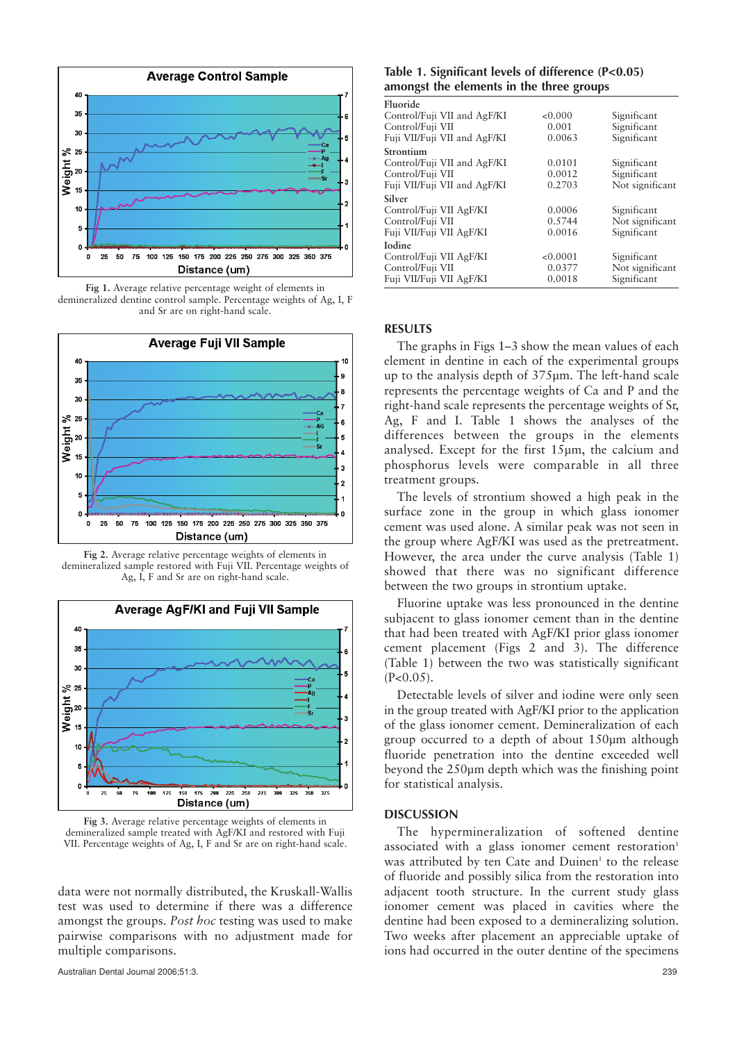

**Fig 1.** Average relative percentage weight of elements in demineralized dentine control sample. Percentage weights of Ag, I, F and Sr are on right-hand scale.



**Fig 2.** Average relative percentage weights of elements in demineralized sample restored with Fuji VII. Percentage weights of Ag, I, F and Sr are on right-hand scale.



**Fig 3.** Average relative percentage weights of elements in demineralized sample treated with AgF/KI and restored with Fuji VII. Percentage weights of Ag, I, F and Sr are on right-hand scale.

data were not normally distributed, the Kruskall-Wallis test was used to determine if there was a difference amongst the groups. *Post hoc* testing was used to make pairwise comparisons with no adjustment made for multiple comparisons.

## **Table 1. Significant levels of difference (P<0.05) amongst the elements in the three groups**

| Fluoride                     |          |                 |
|------------------------------|----------|-----------------|
| Control/Fuji VII and AgF/KI  | < 0.000  | Significant     |
| Control/Fuji VII             | 0.001    | Significant     |
| Fuji VII/Fuji VII and AgF/KI | 0.0063   | Significant     |
| Strontium                    |          |                 |
| Control/Fuji VII and AgF/KI  | 0.0101   | Significant     |
| Control/Fuji VII             | 0.0012   | Significant     |
| Fuji VII/Fuji VII and AgF/KI | 0.2703   | Not significant |
| Silver                       |          |                 |
| Control/Fuji VII AgF/KI      | 0.0006   | Significant     |
| Control/Fuji VII             | 0.5744   | Not significant |
| Fuji VII/Fuji VII AgF/KI     | 0.0016   | Significant     |
| <b>Iodine</b>                |          |                 |
| Control/Fuji VII AgF/KI      | < 0.0001 | Significant     |
| Control/Fuji VII             | 0.0377   | Not significant |
| Fuji VII/Fuji VII AgF/KI     | 0.0018   | Significant     |

#### **RESULTS**

The graphs in Figs 1–3 show the mean values of each element in dentine in each of the experimental groups up to the analysis depth of 375µm. The left-hand scale represents the percentage weights of Ca and P and the right-hand scale represents the percentage weights of Sr, Ag, F and I. Table 1 shows the analyses of the differences between the groups in the elements analysed. Except for the first 15µm, the calcium and phosphorus levels were comparable in all three treatment groups.

The levels of strontium showed a high peak in the surface zone in the group in which glass ionomer cement was used alone. A similar peak was not seen in the group where AgF/KI was used as the pretreatment. However, the area under the curve analysis (Table 1) showed that there was no significant difference between the two groups in strontium uptake.

Fluorine uptake was less pronounced in the dentine subjacent to glass ionomer cement than in the dentine that had been treated with AgF/KI prior glass ionomer cement placement (Figs 2 and 3). The difference (Table 1) between the two was statistically significant  $(P<0.05)$ .

Detectable levels of silver and iodine were only seen in the group treated with AgF/KI prior to the application of the glass ionomer cement. Demineralization of each group occurred to a depth of about 150µm although fluoride penetration into the dentine exceeded well beyond the 250µm depth which was the finishing point for statistical analysis.

#### **DISCUSSION**

The hypermineralization of softened dentine associated with a glass ionomer cement restoration<sup>1</sup> was attributed by ten Cate and Duinen<sup>1</sup> to the release of fluoride and possibly silica from the restoration into adjacent tooth structure. In the current study glass ionomer cement was placed in cavities where the dentine had been exposed to a demineralizing solution. Two weeks after placement an appreciable uptake of ions had occurred in the outer dentine of the specimens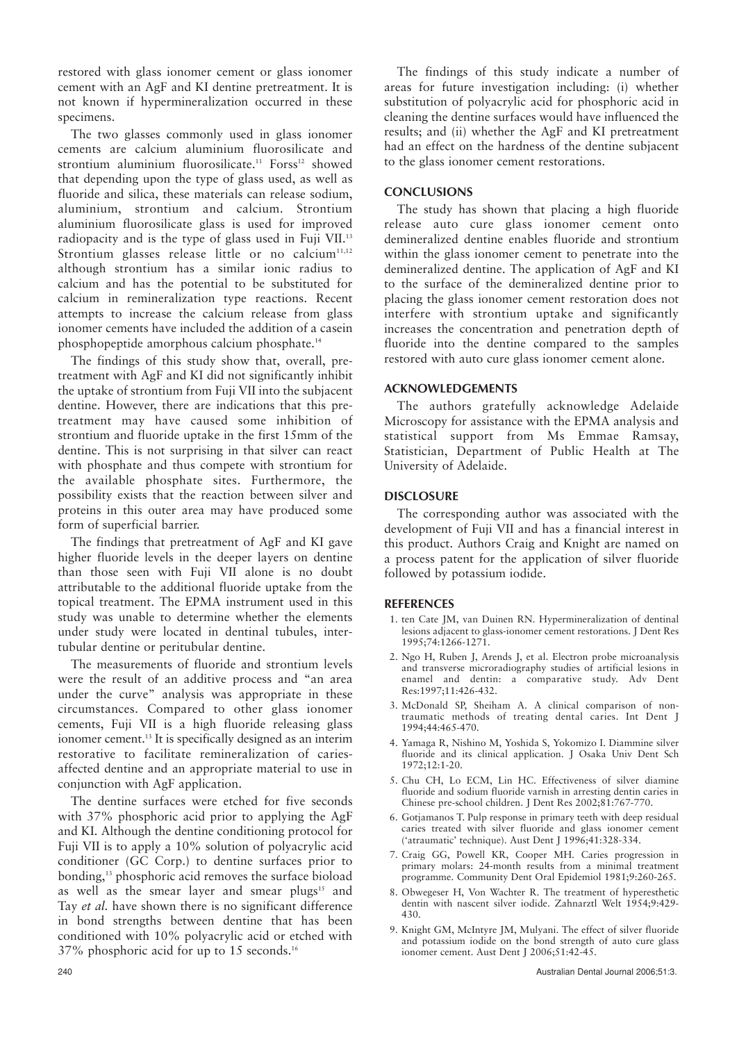restored with glass ionomer cement or glass ionomer cement with an AgF and KI dentine pretreatment. It is not known if hypermineralization occurred in these specimens.

The two glasses commonly used in glass ionomer cements are calcium aluminium fluorosilicate and strontium aluminium fluorosilicate.<sup>11</sup> Forss<sup>12</sup> showed that depending upon the type of glass used, as well as fluoride and silica, these materials can release sodium, aluminium, strontium and calcium. Strontium aluminium fluorosilicate glass is used for improved radiopacity and is the type of glass used in Fuji VII.<sup>13</sup> Strontium glasses release little or no calcium $11,12$ although strontium has a similar ionic radius to calcium and has the potential to be substituted for calcium in remineralization type reactions. Recent attempts to increase the calcium release from glass ionomer cements have included the addition of a casein phosphopeptide amorphous calcium phosphate.14

The findings of this study show that, overall, pretreatment with AgF and KI did not significantly inhibit the uptake of strontium from Fuji VII into the subjacent dentine. However, there are indications that this pretreatment may have caused some inhibition of strontium and fluoride uptake in the first 15mm of the dentine. This is not surprising in that silver can react with phosphate and thus compete with strontium for the available phosphate sites. Furthermore, the possibility exists that the reaction between silver and proteins in this outer area may have produced some form of superficial barrier.

The findings that pretreatment of AgF and KI gave higher fluoride levels in the deeper layers on dentine than those seen with Fuji VII alone is no doubt attributable to the additional fluoride uptake from the topical treatment. The EPMA instrument used in this study was unable to determine whether the elements under study were located in dentinal tubules, intertubular dentine or peritubular dentine.

The measurements of fluoride and strontium levels were the result of an additive process and "an area under the curve" analysis was appropriate in these circumstances. Compared to other glass ionomer cements, Fuji VII is a high fluoride releasing glass ionomer cement.13 It is specifically designed as an interim restorative to facilitate remineralization of cariesaffected dentine and an appropriate material to use in conjunction with AgF application.

The dentine surfaces were etched for five seconds with 37% phosphoric acid prior to applying the AgF and KI. Although the dentine conditioning protocol for Fuji VII is to apply a 10% solution of polyacrylic acid conditioner (GC Corp.) to dentine surfaces prior to bonding,13 phosphoric acid removes the surface bioload as well as the smear layer and smear plugs<sup>15</sup> and Tay *et al.* have shown there is no significant difference in bond strengths between dentine that has been conditioned with 10% polyacrylic acid or etched with 37% phosphoric acid for up to 15 seconds.16

The findings of this study indicate a number of areas for future investigation including: (i) whether substitution of polyacrylic acid for phosphoric acid in cleaning the dentine surfaces would have influenced the results; and (ii) whether the AgF and KI pretreatment had an effect on the hardness of the dentine subjacent to the glass ionomer cement restorations.

# **CONCLUSIONS**

The study has shown that placing a high fluoride release auto cure glass ionomer cement onto demineralized dentine enables fluoride and strontium within the glass ionomer cement to penetrate into the demineralized dentine. The application of AgF and KI to the surface of the demineralized dentine prior to placing the glass ionomer cement restoration does not interfere with strontium uptake and significantly increases the concentration and penetration depth of fluoride into the dentine compared to the samples restored with auto cure glass ionomer cement alone.

#### **ACKNOWLEDGEMENTS**

The authors gratefully acknowledge Adelaide Microscopy for assistance with the EPMA analysis and statistical support from Ms Emmae Ramsay, Statistician, Department of Public Health at The University of Adelaide.

#### **DISCLOSURE**

The corresponding author was associated with the development of Fuji VII and has a financial interest in this product. Authors Craig and Knight are named on a process patent for the application of silver fluoride followed by potassium iodide.

#### **REFERENCES**

- 1. ten Cate JM, van Duinen RN. Hypermineralization of dentinal lesions adjacent to glass-ionomer cement restorations. J Dent Res 1995;74:1266-1271.
- 2. Ngo H, Ruben J, Arends J, et al. Electron probe microanalysis and transverse microradiography studies of artificial lesions in enamel and dentin: a comparative study. Adv Dent Res:1997;11:426-432.
- 3. McDonald SP, Sheiham A. A clinical comparison of nontraumatic methods of treating dental caries. Int Dent J 1994;44:465-470.
- 4. Yamaga R, Nishino M, Yoshida S, Yokomizo I. Diammine silver fluoride and its clinical application. I Osaka Univ Dent Sch 1972;12:1-20.
- 5. Chu CH, Lo ECM, Lin HC. Effectiveness of silver diamine fluoride and sodium fluoride varnish in arresting dentin caries in Chinese pre-school children. J Dent Res 2002;81:767-770.
- 6. Gotjamanos T. Pulp response in primary teeth with deep residual caries treated with silver fluoride and glass ionomer cement ('atraumatic' technique). Aust Dent J 1996;41:328-334.
- 7. Craig GG, Powell KR, Cooper MH. Caries progression in primary molars: 24-month results from a minimal treatment programme. Community Dent Oral Epidemiol 1981;9:260-265.
- 8. Obwegeser H, Von Wachter R. The treatment of hyperesthetic dentin with nascent silver iodide. Zahnarztl Welt 1954;9:429-430.
- 9. Knight GM, McIntyre JM, Mulyani. The effect of silver fluoride and potassium iodide on the bond strength of auto cure glass ionomer cement. Aust Dent J 2006;51:42-45.